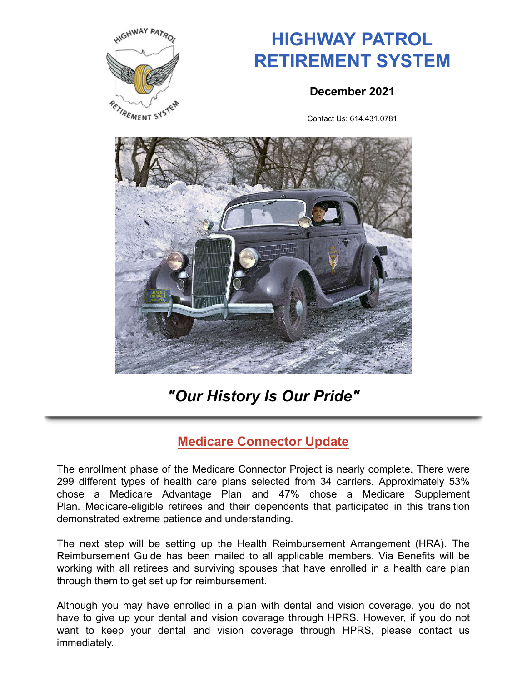

# **HIGHWAY PATROL RETIREMENT SYSTEM**

#### **December 2021**

Contact Us: 614.431.0781



## *"Our History Is Our Pride"*

## **Medicare Connector Update**

The enrollment phase of the Medicare Connector Project is nearly complete. There were 299 different types of health care plans selected from 34 carriers. Approximately 53% chose a Medicare Advantage Plan and 47% chose a Medicare Supplement Plan. Medicare-eligible retirees and their dependents that participated in this transition demonstrated extreme patience and understanding.

The next step will be setting up the Health Reimbursement Arrangement (HRA). The Reimbursement Guide has been mailed to all applicable members. Via Benefits will be working with all retirees and surviving spouses that have enrolled in a health care plan through them to get set up for reimbursement.

Although you may have enrolled in a plan with dental and vision coverage, you do not have to give up your dental and vision coverage through HPRS. However, if you do not want to keep your dental and vision coverage through HPRS, please contact us immediately.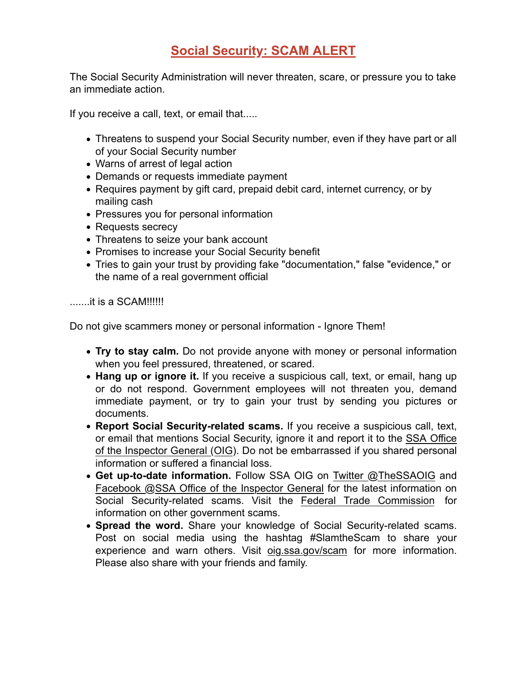## **Social Security: SCAM ALERT**

The Social Security Administration will never threaten, scare, or pressure you to take an immediate action.

If you receive a call, text, or email that.....

- Threatens to suspend your Social Security number, even if they have part or all of your Social Security number
- Warns of arrest of legal action
- Demands or requests immediate payment
- Requires payment by gift card, prepaid debit card, internet currency, or by mailing cash
- Pressures you for personal information
- Requests secrecy
- Threatens to seize your bank account
- Promises to increase your Social Security benefit
- Tries to gain your trust by providing fake "documentation," false "evidence," or the name of a real government official

.......it is a SCAM!!!!!!

Do not give scammers money or personal information - Ignore Them!

- **Try to stay calm.** Do not provide anyone with money or personal information when you feel pressured, threatened, or scared.
- **Hang up or ignore it.** If you receive a suspicious call, text, or email, hang up or do not respond. Government employees will not threaten you, demand immediate payment, or try to gain your trust by sending you pictures or documents.
- **Report Social Security-related scams.** If you receive a suspicious call, text, or email that mentions Social Security, ignore it and report it to the SSA Office of the Inspector General (OIG). Do not be embarrassed if you shared personal information or suffered a financial loss.
- **Get up-to-date information.** Follow SSA OIG on Twitter @TheSSAOIG and Facebook @SSA Office of the Inspector General for the latest information on Social Security-related scams. Visit the Federal Trade Commission for information on other government scams.
- **Spread the word.** Share your knowledge of Social Security-related scams. Post on social media using the hashtag #SlamtheScam to share your experience and warn others. Visit oig.ssa.gov/scam for more information. Please also share with your friends and family.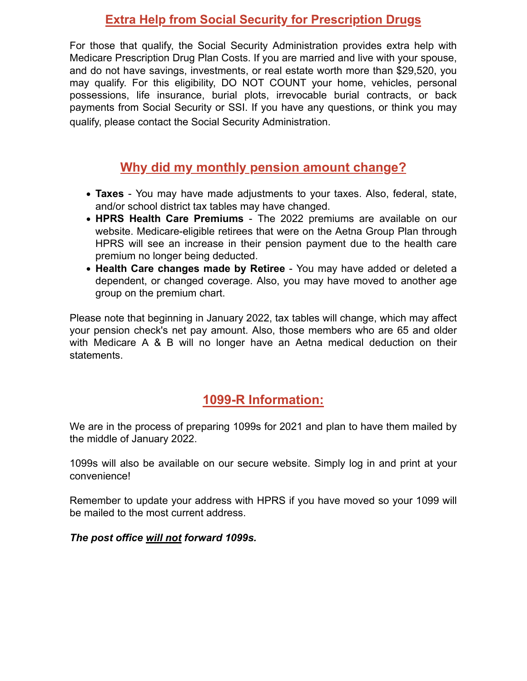#### **Extra Help from Social Security for Prescription Drugs**

For those that qualify, the Social Security Administration provides extra help with Medicare Prescription Drug Plan Costs. If you are married and live with your spouse, and do not have savings, investments, or real estate worth more than \$29,520, you may qualify. For this eligibility, DO NOT COUNT your home, vehicles, personal possessions, life insurance, burial plots, irrevocable burial contracts, or back payments from Social Security or SSI. If you have any questions, or think you may qualify, please contact the Social Security Administration.

#### **Why did my monthly pension amount change?**

- **Taxes** You may have made adjustments to your taxes. Also, federal, state, and/or school district tax tables may have changed.
- **HPRS Health Care Premiums** The 2022 premiums are available on our website. Medicare-eligible retirees that were on the Aetna Group Plan through HPRS will see an increase in their pension payment due to the health care premium no longer being deducted.
- **Health Care changes made by Retiree** You may have added or deleted a dependent, or changed coverage. Also, you may have moved to another age group on the premium chart.

Please note that beginning in January 2022, tax tables will change, which may affect your pension check's net pay amount. Also, those members who are 65 and older with Medicare A & B will no longer have an Aetna medical deduction on their statements.

#### **1099-R Information:**

We are in the process of preparing 1099s for 2021 and plan to have them mailed by the middle of January 2022.

1099s will also be available on our secure website. Simply log in and print at your convenience!

Remember to update your address with HPRS if you have moved so your 1099 will be mailed to the most current address.

*The post office will not forward 1099s.*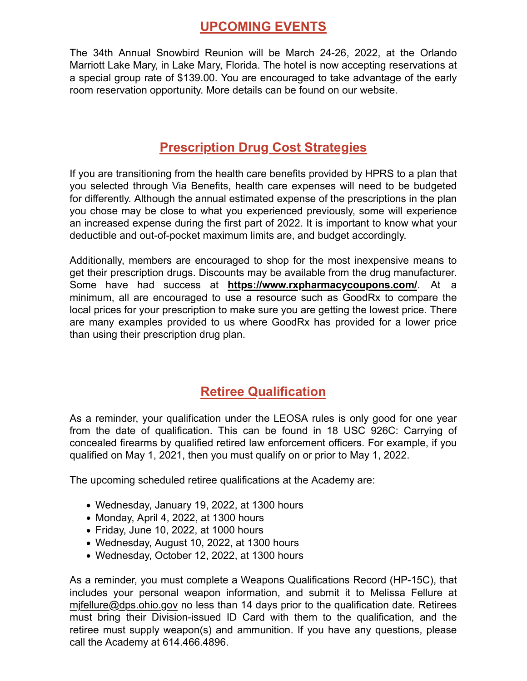#### **UPCOMING EVENTS**

The 34th Annual Snowbird Reunion will be March 24-26, 2022, at the Orlando Marriott Lake Mary, in Lake Mary, Florida. The hotel is now accepting reservations at a special group rate of \$139.00. You are encouraged to take advantage of the early room reservation opportunity. More details can be found on our website.

#### **Prescription Drug Cost Strategies**

If you are transitioning from the health care benefits provided by HPRS to a plan that you selected through Via Benefits, health care expenses will need to be budgeted for differently. Although the annual estimated expense of the prescriptions in the plan you chose may be close to what you experienced previously, some will experience an increased expense during the first part of 2022. It is important to know what your deductible and out-of-pocket maximum limits are, and budget accordingly.

Additionally, members are encouraged to shop for the most inexpensive means to get their prescription drugs. Discounts may be available from the drug manufacturer. Some have had success at **https://www.rxpharmacycoupons.com/**. At a minimum, all are encouraged to use a resource such as GoodRx to compare the local prices for your prescription to make sure you are getting the lowest price. There are many examples provided to us where GoodRx has provided for a lower price than using their prescription drug plan.

#### **Retiree Qualification**

As a reminder, your qualification under the LEOSA rules is only good for one year from the date of qualification. This can be found in 18 USC 926C: Carrying of concealed firearms by qualified retired law enforcement officers. For example, if you qualified on May 1, 2021, then you must qualify on or prior to May 1, 2022.

The upcoming scheduled retiree qualifications at the Academy are:

- Wednesday, January 19, 2022, at 1300 hours
- $\bullet$  Monday, April 4, 2022, at 1300 hours
- Friday, June 10, 2022, at 1000 hours
- Wednesday, August 10, 2022, at 1300 hours
- Wednesday, October 12, 2022, at 1300 hours

As a reminder, you must complete a Weapons Qualifications Record (HP-15C), that includes your personal weapon information, and submit it to Melissa Fellure at mjfellure@dps.ohio.gov no less than 14 days prior to the qualification date. Retirees must bring their Division-issued ID Card with them to the qualification, and the retiree must supply weapon(s) and ammunition. If you have any questions, please call the Academy at 614.466.4896.